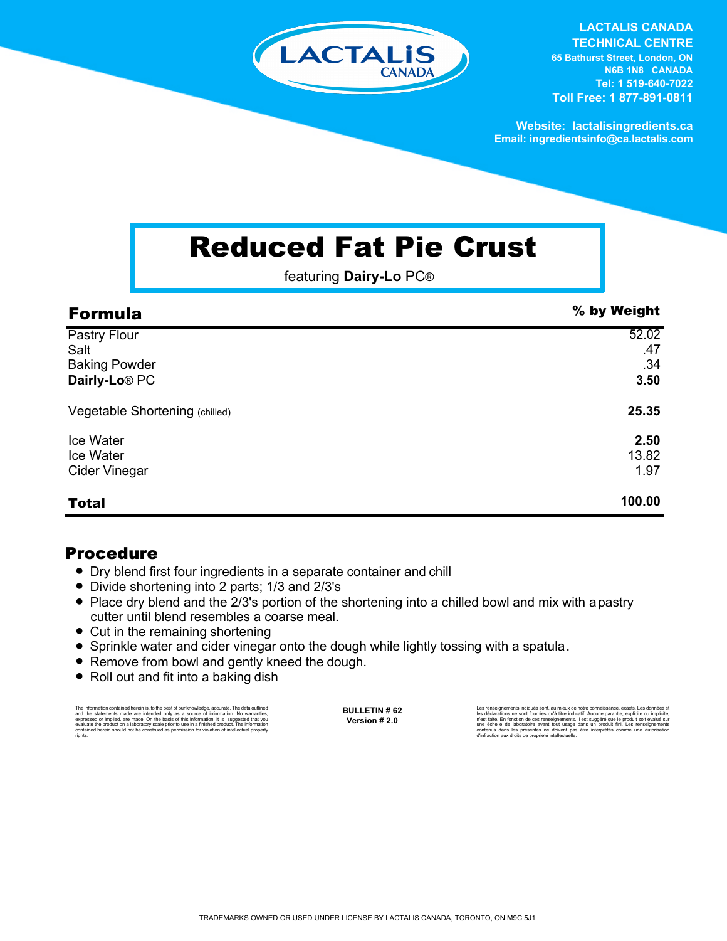

**LACTALIS CANADA TECHNICAL CENTRE 65 Bathurst Street, London, ON** 

**N6B 1N8 CANADA Tel: 1 519-640-7022 Toll Free: 1 877-891-0811**

**Website: lactalisingredients.ca Email: ingredientsinfo@ca.lactalis.com**

## Reduced Fat Pie Crust

featuring **Dairy-Lo** PC®

| <b>Formula</b>                                                                   | % by Weight                 |
|----------------------------------------------------------------------------------|-----------------------------|
| <b>Pastry Flour</b><br>Salt<br><b>Baking Powder</b><br>Dairly-Lo <sup>®</sup> PC | 52.02<br>.47<br>.34<br>3.50 |
| Vegetable Shortening (chilled)                                                   | 25.35                       |
| Ice Water<br>Ice Water<br><b>Cider Vinegar</b>                                   | 2.50<br>13.82<br>1.97       |
| <b>Total</b>                                                                     | 100.00                      |

## Procedure

- Dry blend first four ingredients in a separate container and chill
- = Divide shortening into 2 parts; 1/3 and 2/3's
- Place dry blend and the 2/3's portion of the shortening into a chilled bowl and mix with a pastry cutter until blend resembles a coarse meal.
- Cut in the remaining shortening
- Sprinkle water and cider vinegar onto the dough while lightly tossing with a spatula.
- Remove from bowl and gently kneed the dough.
- Roll out and fit into a baking dish

The information contained herein is, to the best of our knowledge, accurate. The data outlined and the statements made are intended only as a source of information. No warranties, expressed or implied, are made. On the basis of this information, it is suggested that you evaluate the product on a laboratory scale prior to use in a finished product. The information contained herein should not be construed as permission for violation of intellectual property rights.

**BULLETIN # 62 Version # 2.0**

Les renseignements indiqués sont, au mieux de notre connaissance, exacts. Les données et<br>les déclarations ne sont fournies qu'à titre indicatif. Aucune garantie, explicite ou implicite,<br>riest faite. En fonction de ces rens